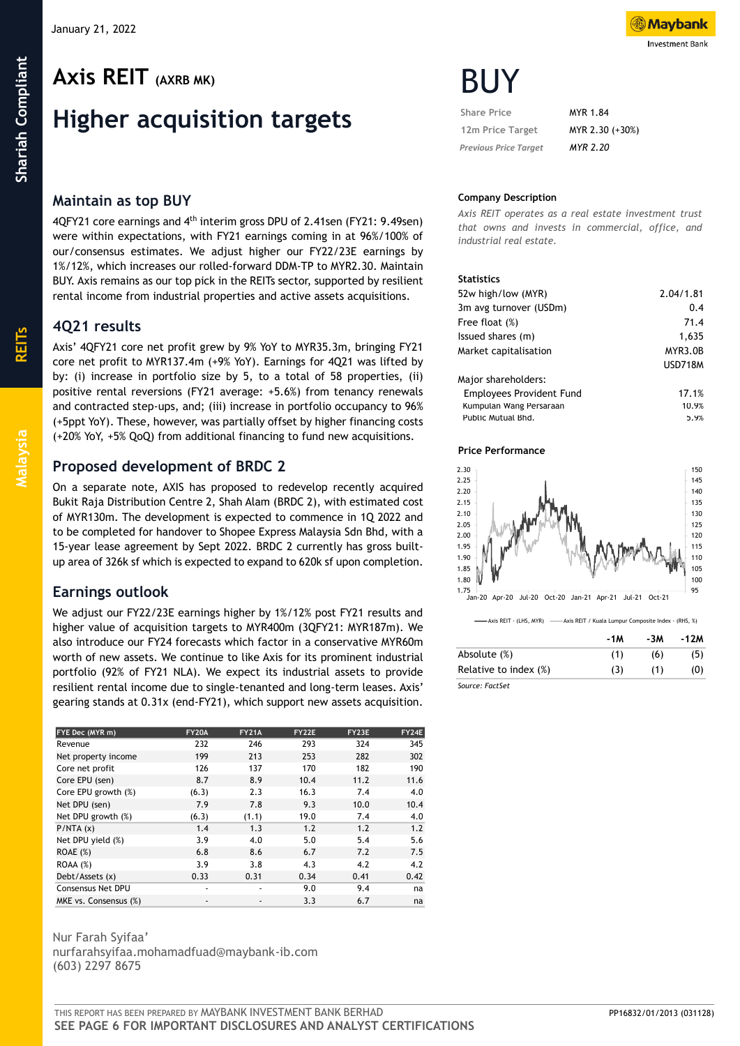# **Higher acquisition targets**

# **Maintain as top BUY**

4QFY21 core earnings and 4th interim gross DPU of 2.41sen (FY21: 9.49sen) were within expectations, with FY21 earnings coming in at 96%/100% of our/consensus estimates. We adjust higher our FY22/23E earnings by 1%/12%, which increases our rolled-forward DDM-TP to MYR2.30. Maintain BUY. Axis remains as our top pick in the REITs sector, supported by resilient rental income from industrial properties and active assets acquisitions.

# **4Q21 results**

Axis' 4QFY21 core net profit grew by 9% YoY to MYR35.3m, bringing FY21 core net profit to MYR137.4m (+9% YoY). Earnings for 4Q21 was lifted by by: (i) increase in portfolio size by 5, to a total of 58 properties, (ii) positive rental reversions (FY21 average: +5.6%) from tenancy renewals and contracted step-ups, and; (iii) increase in portfolio occupancy to 96% (+5ppt YoY). These, however, was partially offset by higher financing costs (+20% YoY, +5% QoQ) from additional financing to fund new acquisitions.

# **Proposed development of BRDC 2**

On a separate note, AXIS has proposed to redevelop recently acquired Bukit Raja Distribution Centre 2, Shah Alam (BRDC 2), with estimated cost of MYR130m. The development is expected to commence in 1Q 2022 and to be completed for handover to Shopee Express Malaysia Sdn Bhd, with a 15-year lease agreement by Sept 2022. BRDC 2 currently has gross builtup area of 326k sf which is expected to expand to 620k sf upon completion.

# **Earnings outlook**

We adjust our FY22/23E earnings higher by 1%/12% post FY21 results and higher value of acquisition targets to MYR400m (3QFY21: MYR187m). We also introduce our FY24 forecasts which factor in a conservative MYR60m worth of new assets. We continue to like Axis for its prominent industrial portfolio (92% of FY21 NLA). We expect its industrial assets to provide resilient rental income due to single-tenanted and long-term leases. Axis' gearing stands at 0.31x (end-FY21), which support new assets acquisition.

| FYE Dec (MYR m)          | <b>FY20A</b> | <b>FY21A</b>                 | FY22E | FY23E | FY24E |
|--------------------------|--------------|------------------------------|-------|-------|-------|
| Revenue                  | 232          | 246                          | 293   | 324   | 345   |
| Net property income      | 199          | 213                          | 253   | 282   | 302   |
| Core net profit          | 126          | 137                          | 170   | 182   | 190   |
| Core EPU (sen)           | 8.7          | 8.9                          | 10.4  | 11.2  | 11.6  |
| Core EPU growth (%)      | (6.3)        | 2.3                          | 16.3  | 7.4   | 4.0   |
| Net DPU (sen)            | 7.9          | 7.8                          | 9.3   | 10.0  | 10.4  |
| Net DPU growth (%)       | (6.3)        | (1.1)                        | 19.0  | 7.4   | 4.0   |
| P/NTA(x)                 | 1.4          | 1.3                          | 1.2   | 1.2   | 1.2   |
| Net DPU yield (%)        | 3.9          | 4.0                          | 5.0   | 5.4   | 5.6   |
| ROAE(%)                  | 6.8          | 8.6                          | 6.7   | 7.2   | 7.5   |
| ROAA(%)                  | 3.9          | 3.8                          | 4.3   | 4.2   | 4.2   |
| Debt/Assets (x)          | 0.33         | 0.31                         | 0.34  | 0.41  | 0.42  |
| <b>Consensus Net DPU</b> | ٠            | ٠                            | 9.0   | 9.4   | na    |
| MKE vs. Consensus (%)    |              | $\qquad \qquad \blacksquare$ | 3.3   | 6.7   | na    |

#### Nur Farah Syifaa' nurfarahsyifaa.mohamadfuad@maybank-ib.com (603) 2297 8675

**Mavbank Investment Bank** 

| <b>Share Price</b>           | MYR 1.84        |
|------------------------------|-----------------|
| 12m Price Target             | MYR 2.30 (+30%) |
| <b>Previous Price Target</b> | <b>MYR 2.20</b> |

# **Company Description**

*Axis REIT operates as a real estate investment trust that owns and invests in commercial, office, and industrial real estate.*

## **Statistics**

| 52w high/low (MYR)              | 2.04/1.81      |
|---------------------------------|----------------|
| 3m avg turnover (USDm)          | 0.4            |
| Free float (%)                  | 71.4           |
| Issued shares (m)               | 1,635          |
| Market capitalisation           | MYR3.0B        |
|                                 | <b>USD718M</b> |
| Major shareholders:             |                |
| <b>Employees Provident Fund</b> | 17.1%          |
| Kumpulan Wang Persaraan         | 10.9%          |
| Public Mutual Bhd.              | 5.9%           |

## **Price Performance**



<sup>-&</sup>lt;br>Axis REIT - (LHS, MYR) ------- Axis REIT / Kuala Lumpur Composite Index - (RHS, %)

|                       | -1M | -3M | -12M |
|-----------------------|-----|-----|------|
| Absolute (%)          | (1) | (6) | (5)  |
| Relative to index (%) | (3) | (1) | (0)  |
| Source: FactSet       |     |     |      |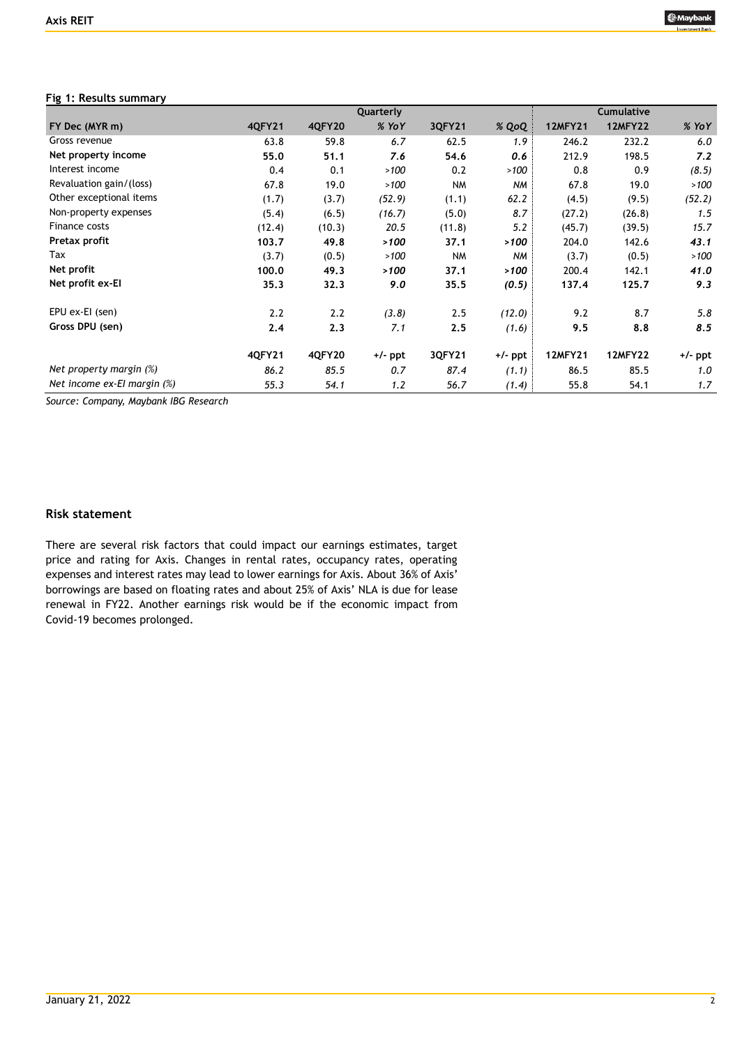## **Fig 1: Results summary**

|                                   |               |               | Quarterly |           |           |                | <b>Cumulative</b> |           |
|-----------------------------------|---------------|---------------|-----------|-----------|-----------|----------------|-------------------|-----------|
| FY Dec (MYR m)                    | <b>4QFY21</b> | <b>4QFY20</b> | % YoY     | 3QFY21    | % QoQ     | <b>12MFY21</b> | <b>12MFY22</b>    | $%$ YoY   |
| Gross revenue                     | 63.8          | 59.8          | 6.7       | 62.5      | 1.9       | 246.2          | 232.2             | 6.0       |
| Net property income               | 55.0          | 51.1          | 7.6       | 54.6      | 0.6       | 212.9          | 198.5             | 7.2       |
| Interest income                   | 0.4           | 0.1           | >100      | 0.2       | >100      | 0.8            | 0.9               | (8.5)     |
| Revaluation gain/(loss)           | 67.8          | 19.0          | >100      | NM        | NM        | 67.8           | 19.0              | >100      |
| Other exceptional items           | (1.7)         | (3.7)         | (52.9)    | (1.1)     | 62.2      | (4.5)          | (9.5)             | (52.2)    |
| Non-property expenses             | (5.4)         | (6.5)         | (16.7)    | (5.0)     | 8.7       | (27.2)         | (26.8)            | 1.5       |
| Finance costs                     | (12.4)        | (10.3)        | 20.5      | (11.8)    | 5.2       | (45.7)         | (39.5)            | 15.7      |
| Pretax profit                     | 103.7         | 49.8          | >100      | 37.1      | >100      | 204.0          | 142.6             | 43.1      |
| Tax                               | (3.7)         | (0.5)         | >100      | <b>NM</b> | <b>NM</b> | (3.7)          | (0.5)             | >100      |
| Net profit                        | 100.0         | 49.3          | >100      | 37.1      | >100      | 200.4          | 142.1             | 41.0      |
| Net profit ex-El                  | 35.3          | 32.3          | 9.0       | 35.5      | (0.5)     | 137.4          | 125.7             | 9.3       |
| EPU ex-EI (sen)                   | 2.2           | 2.2           | (3.8)     | 2.5       | (12.0)    | 9.2            | 8.7               | 5.8       |
| Gross DPU (sen)                   | 2.4           | 2.3           | 7.1       | 2.5       | (1.6)     | 9.5            | 8.8               | 8.5       |
|                                   | 40FY21        | 4QFY20        | +/- ppt   | 3QFY21    | +/- ppt   | <b>12MFY21</b> | <b>12MFY22</b>    | $+/-$ ppt |
| Net property margin $(\%)$        | 86.2          | 85.5          | 0.7       | 87.4      | (1.1)     | 86.5           | 85.5              | 1.0       |
| Net income $ex$ -El margin $(\%)$ | 55.3          | 54.1          | 1.2       | 56.7      | (1.4)     | 55.8           | 54.1              | 1.7       |

*Source: Company, Maybank IBG Research*

## **Risk statement**

There are several risk factors that could impact our earnings estimates, target price and rating for Axis. Changes in rental rates, occupancy rates, operating expenses and interest rates may lead to lower earnings for Axis. About 36% of Axis' borrowings are based on floating rates and about 25% of Axis' NLA is due for lease renewal in FY22. Another earnings risk would be if the economic impact from Covid-19 becomes prolonged.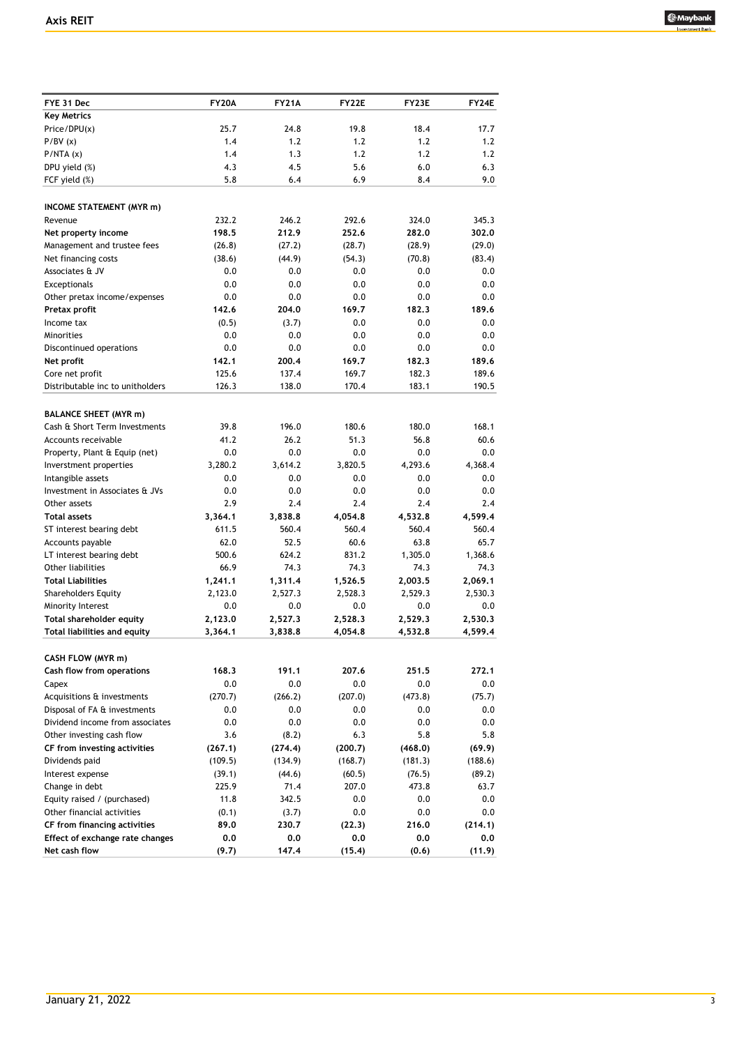

| FYE 31 Dec                       | <b>FY20A</b> | <b>FY21A</b> | <b>FY22E</b> | FY23E   | FY24E   |
|----------------------------------|--------------|--------------|--------------|---------|---------|
| <b>Key Metrics</b>               |              |              |              |         |         |
| Price/DPU(x)                     | 25.7         | 24.8         | 19.8         | 18.4    | 17.7    |
| P/BV(x)                          | 1.4          | 1.2          | 1.2          | 1.2     | 1.2     |
| P/NTA(x)                         | 1.4          | 1.3          | 1.2          | 1.2     | 1.2     |
| DPU yield (%)                    | 4.3          | 4.5          | 5.6          | 6.0     | 6.3     |
| FCF yield (%)                    | 5.8          | 6.4          | 6.9          | 8.4     | 9.0     |
|                                  |              |              |              |         |         |
| <b>INCOME STATEMENT (MYR m)</b>  |              |              |              |         |         |
| Revenue                          | 232.2        | 246.2        | 292.6        | 324.0   | 345.3   |
| Net property income              | 198.5        | 212.9        | 252.6        | 282.0   | 302.0   |
| Management and trustee fees      | (26.8)       | (27.2)       | (28.7)       | (28.9)  | (29.0)  |
| Net financing costs              | (38.6)       | (44.9)       | (54.3)       | (70.8)  | (83.4)  |
| Associates & JV                  | 0.0          | 0.0          | 0.0          | 0.0     | 0.0     |
| Exceptionals                     | 0.0          | 0.0          | 0.0          | 0.0     | 0.0     |
| Other pretax income/expenses     | 0.0          | 0.0          | 0.0          | 0.0     | 0.0     |
| Pretax profit                    | 142.6        | 204.0        | 169.7        | 182.3   | 189.6   |
| Income tax                       | (0.5)        | (3.7)        | 0.0          | 0.0     | 0.0     |
| Minorities                       | 0.0          | 0.0          | 0.0          | 0.0     | 0.0     |
| Discontinued operations          | 0.0          | 0.0          | 0.0          | 0.0     | 0.0     |
| Net profit                       | 142.1        | 200.4        | 169.7        | 182.3   | 189.6   |
| Core net profit                  | 125.6        | 137.4        | 169.7        | 182.3   | 189.6   |
| Distributable inc to unitholders | 126.3        | 138.0        | 170.4        | 183.1   | 190.5   |
|                                  |              |              |              |         |         |
| <b>BALANCE SHEET (MYR m)</b>     |              |              |              |         |         |
| Cash & Short Term Investments    | 39.8         | 196.0        | 180.6        | 180.0   | 168.1   |
| Accounts receivable              | 41.2         | 26.2         | 51.3         | 56.8    | 60.6    |
| Property, Plant & Equip (net)    | 0.0          | 0.0          | 0.0          | 0.0     | 0.0     |
| Inverstment properties           | 3,280.2      | 3,614.2      | 3,820.5      | 4,293.6 | 4,368.4 |
| Intangible assets                | 0.0          | 0.0          | 0.0          | 0.0     | 0.0     |
| Investment in Associates & JVs   | 0.0          | 0.0          | 0.0          | 0.0     | 0.0     |
| Other assets                     | 2.9          | 2.4          | 2.4          | 2.4     | 2.4     |
| <b>Total assets</b>              | 3,364.1      | 3,838.8      | 4,054.8      | 4,532.8 | 4,599.4 |
| ST interest bearing debt         | 611.5        | 560.4        | 560.4        | 560.4   | 560.4   |
| Accounts payable                 | 62.0         | 52.5         | 60.6         | 63.8    | 65.7    |
| LT interest bearing debt         | 500.6        | 624.2        | 831.2        | 1,305.0 | 1,368.6 |
| Other liabilities                | 66.9         | 74.3         | 74.3         | 74.3    | 74.3    |
| <b>Total Liabilities</b>         | 1,241.1      | 1,311.4      | 1,526.5      | 2,003.5 | 2,069.1 |
| <b>Shareholders Equity</b>       | 2,123.0      | 2,527.3      | 2.528.3      | 2,529.3 | 2,530.3 |
| Minority Interest                | 0.0          | 0.0          | 0.0          | 0.0     | 0.0     |
| Total shareholder equity         | 2,123.0      | 2,527.3      | 2,528.3      | 2,529.3 | 2,530.3 |
| Total liabilities and equity     | 3,364.1      | 3,838.8      | 4,054.8      | 4,532.8 | 4,599.4 |
|                                  |              |              |              |         |         |
| CASH FLOW (MYR m)                |              |              |              |         |         |
| Cash flow from operations        | 168.3        | 191.1        | 207.6        | 251.5   | 272.1   |
| Capex                            | 0.0          | 0.0          | 0.0          | $0.0\,$ | $0.0\,$ |
| Acquisitions & investments       | (270.7)      | (266.2)      | (207.0)      | (473.8) | (75.7)  |
| Disposal of FA & investments     | 0.0          | 0.0          | 0.0          | 0.0     | $0.0\,$ |
| Dividend income from associates  | 0.0          | 0.0          | 0.0          | 0.0     | $0.0\,$ |
| Other investing cash flow        | 3.6          | (8.2)        | 6.3          | 5.8     | 5.8     |
| CF from investing activities     | (267.1)      | (274.4)      | (200.7)      | (468.0) | (69.9)  |
| Dividends paid                   | (109.5)      | (134.9)      | (168.7)      | (181.3) | (188.6) |
| Interest expense                 | (39.1)       | (44.6)       | (60.5)       | (76.5)  | (89.2)  |
| Change in debt                   | 225.9        | 71.4         | 207.0        | 473.8   | 63.7    |
| Equity raised / (purchased)      | 11.8         | 342.5        | 0.0          | 0.0     | $0.0\,$ |
| Other financial activities       | (0.1)        | (3.7)        | 0.0          | 0.0     | $0.0\,$ |
| CF from financing activities     | 89.0         | 230.7        | (22.3)       | 216.0   | (214.1) |
| Effect of exchange rate changes  | 0.0          | 0.0          | 0.0          | 0.0     | 0.0     |
| Net cash flow                    | (9.7)        | 147.4        | (15.4)       | (0.6)   | (11.9)  |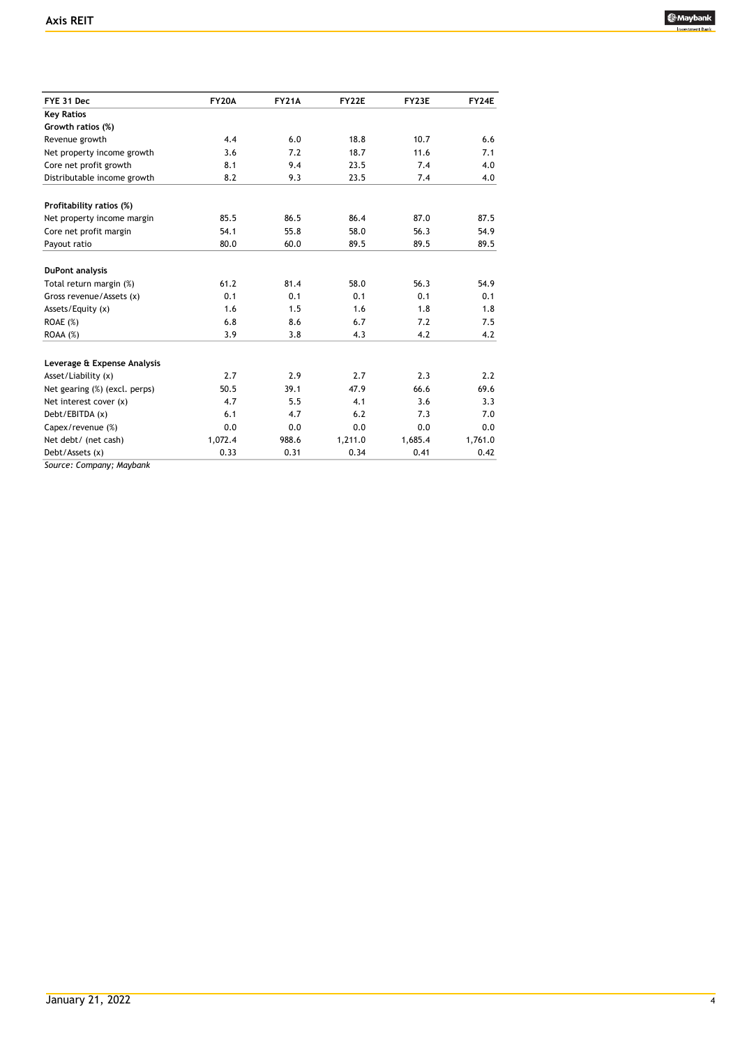

| FYE 31 Dec                    | <b>FY20A</b> | <b>FY21A</b> | <b>FY22E</b> | FY23E   | FY24E   |
|-------------------------------|--------------|--------------|--------------|---------|---------|
| <b>Key Ratios</b>             |              |              |              |         |         |
| Growth ratios (%)             |              |              |              |         |         |
| Revenue growth                | 4.4          | 6.0          | 18.8         | 10.7    | 6.6     |
| Net property income growth    | 3.6          | 7.2          | 18.7         | 11.6    | 7.1     |
| Core net profit growth        | 8.1          | 9.4          | 23.5         | 7.4     | 4.0     |
| Distributable income growth   | 8.2          | 9.3          | 23.5         | 7.4     | 4.0     |
| Profitability ratios (%)      |              |              |              |         |         |
| Net property income margin    | 85.5         | 86.5         | 86.4         | 87.0    | 87.5    |
| Core net profit margin        | 54.1         | 55.8         | 58.0         | 56.3    | 54.9    |
| Payout ratio                  | 80.0         | 60.0         | 89.5         | 89.5    | 89.5    |
| DuPont analysis               |              |              |              |         |         |
| Total return margin (%)       | 61.2         | 81.4         | 58.0         | 56.3    | 54.9    |
| Gross revenue/Assets (x)      | 0.1          | 0.1          | 0.1          | 0.1     | 0.1     |
| Assets/Equity (x)             | 1.6          | 1.5          | 1.6          | 1.8     | 1.8     |
| ROAE (%)                      | 6.8          | 8.6          | 6.7          | 7.2     | 7.5     |
| ROAA(%)                       | 3.9          | 3.8          | 4.3          | 4.2     | 4.2     |
| Leverage & Expense Analysis   |              |              |              |         |         |
| Asset/Liability (x)           | 2.7          | 2.9          | 2.7          | 2.3     | 2.2     |
| Net gearing (%) (excl. perps) | 50.5         | 39.1         | 47.9         | 66.6    | 69.6    |
| Net interest cover (x)        | 4.7          | 5.5          | 4.1          | 3.6     | 3.3     |
| Debt/EBITDA (x)               | 6.1          | 4.7          | 6.2          | 7.3     | 7.0     |
| Capex/revenue (%)             | 0.0          | 0.0          | 0.0          | 0.0     | 0.0     |
| Net debt/ (net cash)          | 1,072.4      | 988.6        | 1,211.0      | 1,685.4 | 1,761.0 |
| Debt/Assets (x)               | 0.33         | 0.31         | 0.34         | 0.41    | 0.42    |

*Source: Company; Maybank*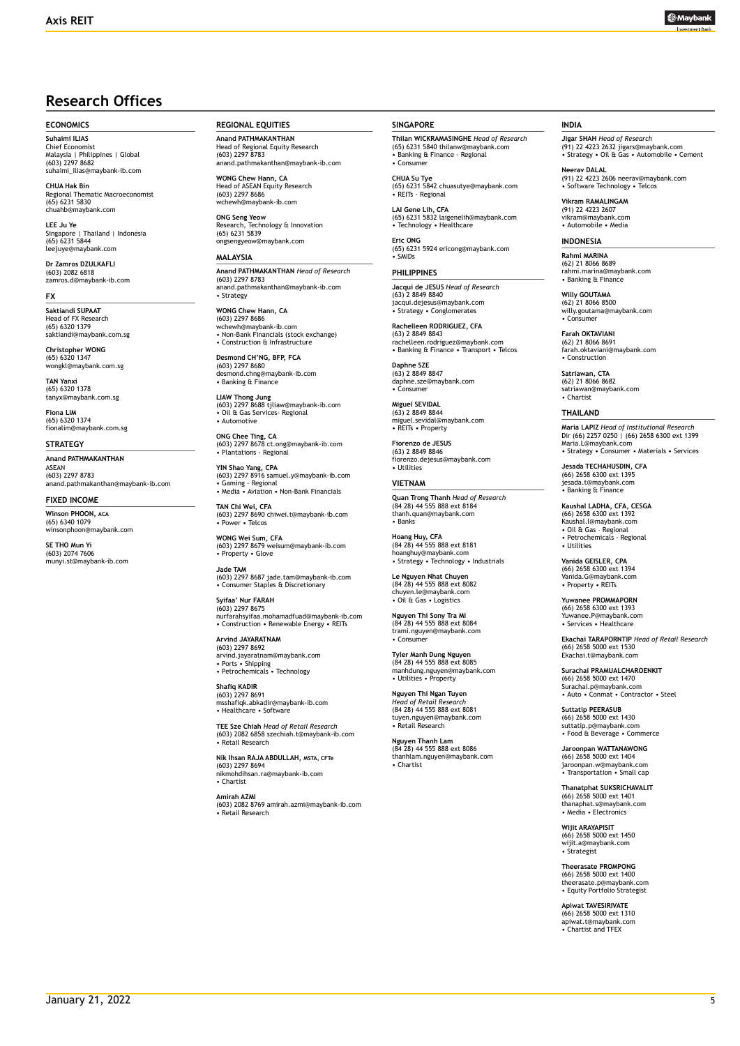

# **Research Offices**

#### **ECONOMICS**

**Suhaimi ILIAS** Chief Economist Malaysia | Philippines | Global (603) 2297 8682 suhaimi\_ilias@maybank-ib.com

**CHUA Hak Bin** nal Thematic Macroeconomist (65) 6231 5830 chuahb@maybank.com

**LEE Ju Ye**<br>Singapore | Thailand | Indonesia<br>(65) 6231 5844 leejuye@maybank.com

**Dr Zamros DZULKAFLI**  (603) 2082 6818 zamros.d@maybank-ib.com

#### **FX**

**Saktiandi SUPAAT** Head of FX Research (65) 6320 1379 saktiandi@maybank.com.sg

**Christopher WONG** (65) 6320 1347 wongkl@maybank.com.sg

**TAN Yanxi** (65) 6320 1378 tanyx@maybank.com.sg

**Fiona LIM** (65) 6320 1374 fionalim@maybank.com.sg

#### **STRATEGY**

**Anand PATHMAKANTHAN** ASEAN (603) 2297 8783 anand.pathmakanthan@maybank-ib.com

#### **FIXED INCOME**

**Winson PHOON, ACA** (65) 6340 1079 winsonphoon@maybank.com

**SE THO Mun Yi**  $(603)$  2074 7606 munyi.st@maybank-ib.com **REGIONAL EQUITIES**

**Anand PATHMAKANTHAN** Head of Regional Equity Research (603) 2297 8783 anand.pathmakanthan@maybank-ib.com

**WONG Chew Hann, CA** Head of ASEAN Equity Research (603) 2297 8686 wchewh@maybank-ib.com

**ONG Seng Yeow** Research, Technology & Innovation (65) 6231 5839 ongsengyeow@maybank.com

#### **MALAYSIA**

**Anand PATHMAKANTHAN** *Head of Research* (603) 2297 8783 anand.pathmakanthan@maybank-ib.com • Strategy

**WONG Chew Hann, CA** (603) 2297 8686 wchewh@maybank-ib.com • Non-Bank Financials (stock exchange) • Construction & Infrastructure

**Desmond CH'NG, BFP, FCA** (603) 2297 8680 desmond.chng@maybank-ib.com • Banking & Finance

**LIAW Thong Jung** (603) 2297 8688 tjliaw@maybank-ib.com • Oil & Gas Services- Regional • Automotive

**ONG Chee Ting, CA** (603) 2297 8678 ct.ong@maybank-ib.com • Plantations - Regional

**YIN Shao Yang, CPA** (603) 2297 8916 samuel.y@maybank-ib.com • Gaming – Regional • Media • Aviation • Non-Bank Financials

**TAN Chi Wei, CFA** (603) 2297 8690 chiwei.t@maybank-ib.com • Power • Telcos

**WONG Wei Sum, CFA** (603) 2297 8679 weisum@maybank-ib.com • Property • Glove

**Jade TAM** (603) 2297 8687 jade.tam@maybank-ib.com • Consumer Staples & Discretionary

**Syifaa' Nur FARAH** (603) 2297 8675 nurfarahsyifaa.mohamadfuad@maybank-ib.com • Construction • Renewable Energy • REITs

**Arvind JAYARATNAM** (603) 2297 8692 arvind.jayaratnam@maybank.com • Ports • Shipping • Petrochemicals • Technology

**Shafiq KADIR** (603) 2297 8691 msshafiqk.abkadir@maybank-ib.com • Healthcare • Software

**TEE Sze Chiah** *Head of Retail Research* (603) 2082 6858 szechiah.t@maybank-ib.com • Retail Research

**Nik Ihsan RAJA ABDULLAH, MSTA, CFTe** (603) 2297 8694 nikmohdihsan.ra@maybank-ib.com • Chartist

**Amirah AZMI** (603) 2082 8769 amirah.azmi@maybank-ib.com • Retail Research

#### **SINGAPORE**

**Thilan WICKRAMASINGHE** *Head of Research* (65) 6231 5840 thilanw@maybank.com • Banking & Finance - Regional • Consumer

**CHUA Su Tye**  (65) 6231 5842 chuasutye@maybank.com • REITs - Regional

**LAI Gene Lih, CFA** (65) 6231 5832 laigenelih@maybank.com • Technology • Healthcare

**Eric ONG** (65) 6231 5924 ericong@maybank.com • SMIDs

**PHILIPPINES**

**Jacqui de JESUS** *Head of Research* (63) 2 8849 8840 jacqui.dejesus@maybank.com • Strategy • Conglomerates

**Rachelleen RODRIGUEZ, CFA** (63) 2 8849 8843 rachelleen.rodriguez@maybank.com • Banking & Finance • Transport • Telcos

**Daphne SZE** (63) 2 8849 8847 daphne.sze@maybank.com • Consumer

**Miguel SEVIDAL** (63) 2 8849 8844 miguel.sevidal@maybank.com • REITs • Property

**Fiorenzo de JESUS** (63) 2 8849 8846 fiorenzo.dejesus@maybank.com • Utilities

**VIETNAM**

**Quan Trong Thanh** *Head of Research* (84 28) 44 555 888 ext 8184 thanh.quan@maybank.com • Banks

**Hoang Huy, CFA** (84 28) 44 555 888 ext 8181 hoanghuy@maybank.com • Strategy • Technology • Industrials

**Le Nguyen Nhat Chuyen** (84 28) 44 555 888 ext 8082 chuyen.le@maybank.com • Oil & Gas • Logistics

**Nguyen Thi Sony Tra Mi** (84 28) 44 555 888 ext 8084 trami.nguyen@maybank.com • Consumer

**Tyler Manh Dung Nguyen** (84 28) 44 555 888 ext 8085 manhdung.nguyen@maybank.com • Utilities • Property

**Nguyen Thi Ngan Tuyen** *Head of Retail Research* (84 28) 44 555 888 ext 8081 tuyen.nguyen@maybank.com • Retail Research

**Nguyen Thanh Lam** (84 28) 44 555 888 ext 8086 thanhlam.nguyen@maybank.com • Chartist

#### **INDIA**

**Jigar SHAH** *Head of Research* (91) 22 4223 2632 jigars@maybank.com • Strategy • Oil & Gas • Automobile • Cement

**Neerav DALAL** (91) 22 4223 2606 neerav@maybank.com • Software Technology • Telcos

**Vikram RAMALINGAM** (91) 22 4223 2607 vikram@maybank.com • Automobile • Media

#### **INDONESIA**

**Rahmi MARINA** (62) 21 8066 8689 rahmi.marina@maybank.com • Banking & Finance

**Willy GOUTAMA** (62) 21 8066 8500 willy.goutama@maybank.com • Consumer

**Farah OKTAVIANI** (62) 21 8066 8691 farah.oktaviani@maybank.com • Construction

**Satriawan, CTA** (62) 21 8066 8682 satriawan@maybank.com • Chartist

#### **THAILAND**

**Maria LAPIZ** *Head of Institutional Research* Dir (66) 2257 0250 | (66) 2658 6300 ext 1399 Maria.L@maybank.com • Strategy • Consumer • Materials • Services

**Jesada TECHAHUSDIN, CFA** (66) 2658 6300 ext 1395 jesada.t@maybank.com • Banking & Finance

**Kaushal LADHA, CFA, CESGA** (66) 2658 6300 ext 1392 Kaushal.l@maybank.com • Oil & Gas – Regional • Petrochemicals - Regional • Utilities

**Vanida GEISLER, CPA** (66) 2658 6300 ext 1394 Vanida.G@maybank.com • Property • REITs

**Yuwanee PROMMAPORN** (66) 2658 6300 ext 1393 Yuwanee.P@maybank.com • Services • Healthcare

**Ekachai TARAPORNTIP** *Head of Retail Research* (66) 2658 5000 ext 1530 Ekachai.t@maybank.com

**Surachai PRAMUALCHAROENKIT**  (66) 2658 5000 ext 1470 Surachai.p@maybank.com • Auto • Conmat • Contractor • Steel

**Suttatip PEERASUB** (66) 2658 5000 ext 1430 suttatip.p@maybank.com • Food & Beverage • Commerce

**Jaroonpan WATTANAWONG** (66) 2658 5000 ext 1404 jaroonpan.w@maybank.com • Transportation • Small cap

**Thanatphat SUKSRICHAVALIT** (66) 2658 5000 ext 1401 thanaphat.s@maybank.com • Media • Electronics

**Wijit ARAYAPISIT** (66) 2658 5000 ext 1450 wijit.a@maybank.com • Strategist

**Theerasate PROMPONG** (66) 2658 5000 ext 1400 theerasate.p@maybank.com • Equity Portfolio Strategist

**Apiwat TAVESIRIVATE** (66) 2658 5000 ext 1310 apiwat.t@maybank.com • Chartist and TFEX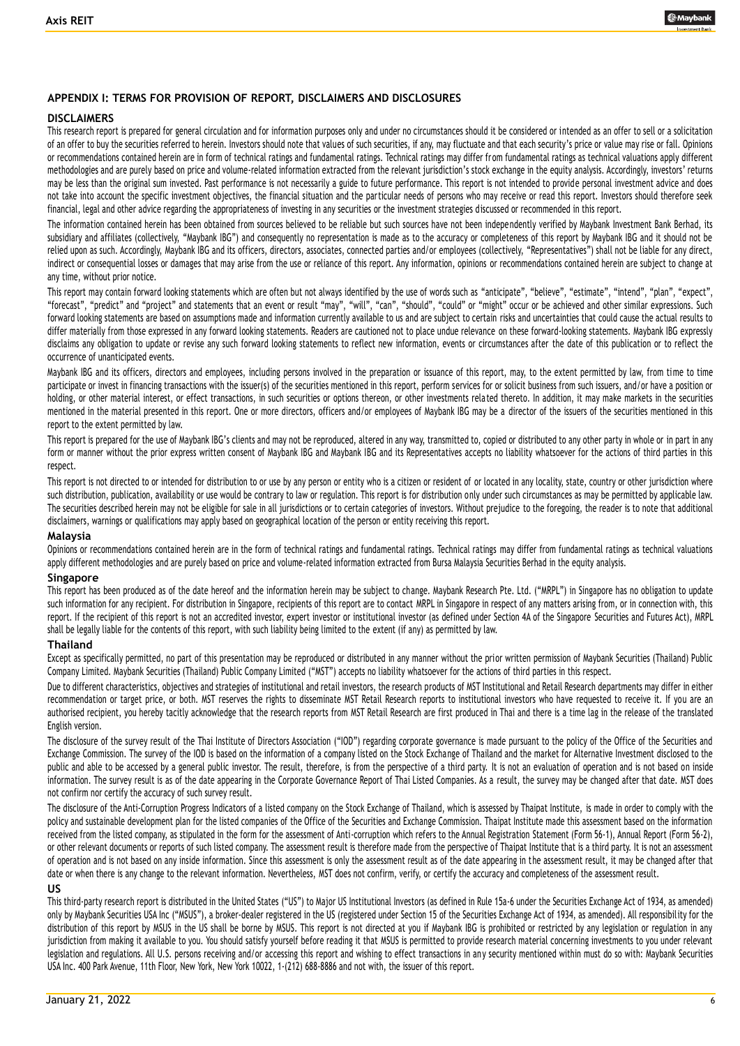

## **APPENDIX I: TERMS FOR PROVISION OF REPORT, DISCLAIMERS AND DISCLOSURES**

#### **DISCLAIMERS**

This research report is prepared for general circulation and for information purposes only and under no circumstances should it be considered or intended as an offer to sell or a solicitation of an offer to buy the securities referred to herein. Investors should note that values of such securities, if any, may fluctuate and that each security's price or value may rise or fall. Opinions or recommendations contained herein are in form of technical ratings and fundamental ratings. Technical ratings may differ from fundamental ratings as technical valuations apply different methodologies and are purely based on price and volume-related information extracted from the relevant jurisdiction's stock exchange in the equity analysis. Accordingly, investors' returns may be less than the original sum invested. Past performance is not necessarily a guide to future performance. This report is not intended to provide personal investment advice and does not take into account the specific investment objectives, the financial situation and the particular needs of persons who may receive or read this report. Investors should therefore seek financial, legal and other advice regarding the appropriateness of investing in any securities or the investment strategies discussed or recommended in this report.

The information contained herein has been obtained from sources believed to be reliable but such sources have not been independently verified by Maybank Investment Bank Berhad, its subsidiary and affiliates (collectively, "Maybank IBG") and consequently no representation is made as to the accuracy or completeness of this report by Maybank IBG and it should not be relied upon as such. Accordingly, Maybank IBG and its officers, directors, associates, connected parties and/or employees (collectively, "Representatives") shall not be liable for any direct, indirect or consequential losses or damages that may arise from the use or reliance of this report. Any information, opinions or recommendations contained herein are subject to change at any time, without prior notice.

This report may contain forward looking statements which are often but not always identified by the use of words such as "anticipate", "believe", "estimate", "intend", "plan", "expect", "forecast", "predict" and "project" and statements that an event or result "may", "will", "can", "should", "could" or "might" occur or be achieved and other similar expressions. Such forward looking statements are based on assumptions made and information currently available to us and are subject to certain risks and uncertainties that could cause the actual results to differ materially from those expressed in any forward looking statements. Readers are cautioned not to place undue relevance on these forward-looking statements. Maybank IBG expressly disclaims any obligation to update or revise any such forward looking statements to reflect new information, events or circumstances after the date of this publication or to reflect the occurrence of unanticipated events.

Maybank IBG and its officers, directors and employees, including persons involved in the preparation or issuance of this report, may, to the extent permitted by law, from time to time participate or invest in financing transactions with the issuer(s) of the securities mentioned in this report, perform services for or solicit business from such issuers, and/or have a position or holding, or other material interest, or effect transactions, in such securities or options thereon, or other investments related thereto. In addition, it may make markets in the securities mentioned in the material presented in this report. One or more directors, officers and/or employees of Maybank IBG may be a director of the issuers of the securities mentioned in this report to the extent permitted by law.

This report is prepared for the use of Maybank IBG's clients and may not be reproduced, altered in any way, transmitted to, copied or distributed to any other party in whole or in part in any form or manner without the prior express written consent of Maybank IBG and Maybank IBG and its Representatives accepts no liability whatsoever for the actions of third parties in this respect.

This report is not directed to or intended for distribution to or use by any person or entity who is a citizen or resident of or located in any locality, state, country or other jurisdiction where such distribution, publication, availability or use would be contrary to law or regulation. This report is for distribution only under such circumstances as may be permitted by applicable law. The securities described herein may not be eligible for sale in all jurisdictions or to certain categories of investors. Without prejudice to the foregoing, the reader is to note that additional disclaimers, warnings or qualifications may apply based on geographical location of the person or entity receiving this report.

#### **Malaysia**

Opinions or recommendations contained herein are in the form of technical ratings and fundamental ratings mare differ from fundamental ratings as technical valuations apply different methodologies and are purely based on price and volume-related information extracted from Bursa Malaysia Securities Berhad in the equity analysis.

### **Singapore**

This report has been produced as of the date hereof and the information herein may be subject to change. Maybank Research Pte. Ltd. ("MRPL") in Singapore has no obligation to update such information for any recipient. For distribution in Singapore, recipients of this report are to contact MRPL in Singapore in respect of any matters arising from, or in connection with, this report. If the recipient of this report is not an accredited investor, expert investor or institutional investor (as defined under Section 4A of the Singapore Securities and Futures Act), MRPL shall be legally liable for the contents of this report, with such liability being limited to the extent (if any) as permitted by law.

### **Thailand**

Except as specifically permitted, no part of this presentation may be reproduced or distributed in any manner without the prior written permission of Maybank Securities (Thailand) Public Company Limited. Maybank Securities (Thailand) Public Company Limited ("MST") accepts no liability whatsoever for the actions of third parties in this respect.

Due to different characteristics, objectives and strategies of institutional and retail investors, the research products of MST Institutional and Retail Research departments may differ in either recommendation or target price, or both. MST reserves the rights to disseminate MST Retail Research reports to institutional investors who have requested to receive it. If you are an authorised recipient, you hereby tacitly acknowledge that the research reports from MST Retail Research are first produced in Thai and there is a time lag in the release of the translated English version.

The disclosure of the survey result of the Thai Institute of Directors Association ("IOD") regarding corporate governance is made pursuant to the policy of the Office of the Securities and Exchange Commission. The survey of the IOD is based on the information of a company listed on the Stock Exchange of Thailand and the market for Alternative Investment disclosed to the public and able to be accessed by a general public investor. The result, therefore, is from the perspective of a third party. It is not an evaluation of operation and is not based on inside information. The survey result is as of the date appearing in the Corporate Governance Report of Thai Listed Companies. As a result, the survey may be changed after that date. MST does not confirm nor certify the accuracy of such survey result.

The disclosure of the Anti-Corruption Progress Indicators of a listed company on the Stock Exchange of Thailand, which is assessed by Thaipat Institute, is made in order to comply with the policy and sustainable development plan for the listed companies of the Office of the Securities and Exchange Commission. Thaipat Institute made this assessment based on the information received from the listed company, as stipulated in the form for the assessment of Anti-corruption which refers to the Annual Registration Statement (Form 56-1), Annual Report (Form 56-2), or other relevant documents or reports of such listed company. The assessment result is therefore made from the perspective of Thaipat Institute that is a third party. It is not an assessment of operation and is not based on any inside information. Since this assessment is only the assessment result as of the date appearing in the assessment result, it may be changed after that date or when there is any change to the relevant information. Nevertheless, MST does not confirm, verify, or certify the accuracy and completeness of the assessment result.

#### **US**

This third-party research report is distributed in the United States ("US") to Major US Institutional Investors (as defined in Rule 15a-6 under the Securities Exchange Act of 1934, as amended) only by Maybank Securities USA Inc ("MSUS"), a broker-dealer registered in the US (registered under Section 15 of the Securities Exchange Act of 1934, as amended). All responsibility for the distribution of this report by MSUS in the US shall be borne by MSUS. This report is not directed at you if Maybank IBG is prohibited or restricted by any legislation or regulation in any jurisdiction from making it available to you. You should satisfy yourself before reading it that MSUS is permitted to provide research material concerning investments to you under relevant legislation and regulations. All U.S. persons receiving and/or accessing this report and wishing to effect transactions in any security mentioned within must do so with: Maybank Securities USA Inc. 400 Park Avenue, 11th Floor, New York, New York 10022, 1-(212) 688-8886 and not with, the issuer of this report.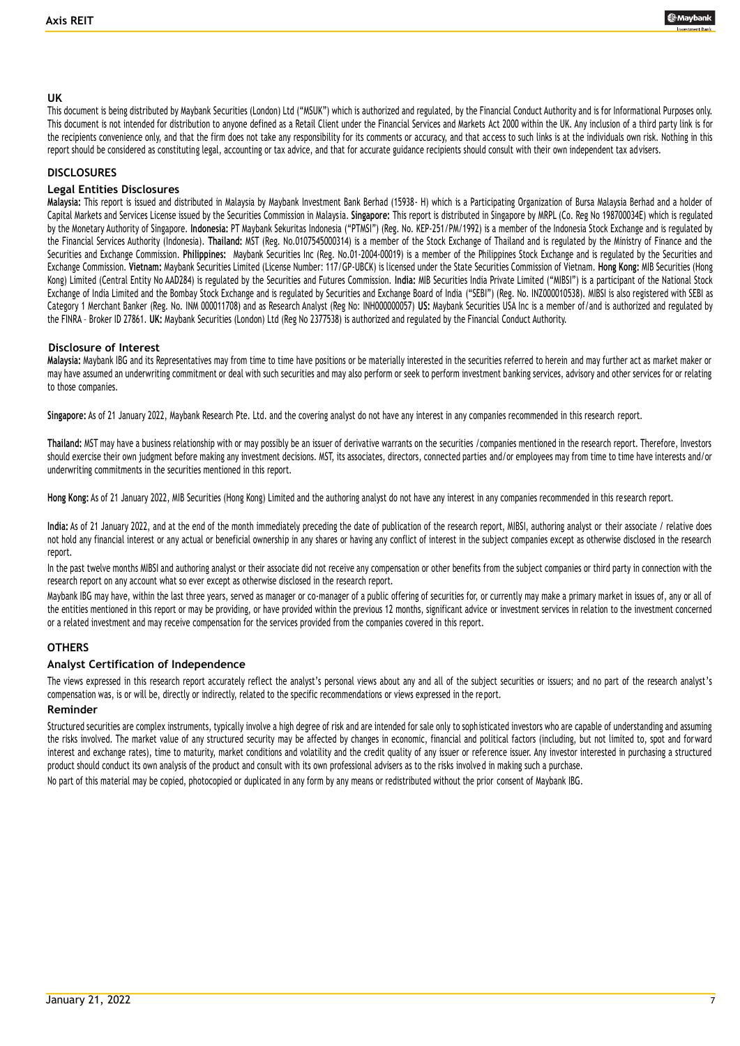

### **UK**

This document is being distributed by Maybank Securities (London) Ltd ("MSUK") which is authorized and regulated, by the Financial Conduct Authority and is for Informational Purposes only. This document is not intended for distribution to anyone defined as a Retail Client under the Financial Services and Markets Act 2000 within the UK. Any inclusion of a third party link is for the recipients convenience only, and that the firm does not take any responsibility for its comments or accuracy, and that ac cess to such links is at the individuals own risk. Nothing in this report should be considered as constituting legal, accounting or tax advice, and that for accurate guidance recipients should consult with their own independent tax ad visers.

#### **DISCLOSURES**

#### **Legal Entities Disclosures**

**Malaysia:** This report is issued and distributed in Malaysia by Maybank Investment Bank Berhad (15938- H) which is a Participating Organization of Bursa Malaysia Berhad and a holder of Capital Markets and Services License issued by the Securities Commission in Malaysia. Singapore: This report is distributed in Singapore by MRPL (Co. Reg No 198700034E) which is regulated by the Monetary Authority of Singapore. **Indonesia:** PT Maybank Sekuritas Indonesia ("PTMSI") (Reg. No. KEP-251/PM/1992) is a member of the Indonesia Stock Exchange and is regulated by the Financial Services Authority (Indonesia). **Thailand:** MST (Reg. No.0107545000314) is a member of the Stock Exchange of Thailand and is regulated by the Ministry of Finance and the Securities and Exchange Commission. **Philippines:** Maybank Securities Inc (Reg. No.01-2004-00019) is a member of the Philippines Stock Exchange and is regulated by the Securities and Exchange Commission. **Vietnam:** Maybank Securities Limited (License Number: 117/GP-UBCK) is licensed under the State Securities Commission of Vietnam. **Hong Kong:** MIB Securities (Hong Kong) Limited (Central Entity No AAD284) is regulated by the Securities and Futures Commission. **India:** MIB Securities India Private Limited ("MIBSI") is a participant of the National Stock Exchange of India Limited and the Bombay Stock Exchange and is regulated by Securities and Exchange Board of India ("SEBI") (Reg. No. INZ000010538). MIBSI is also registered with SEBI as Category 1 Merchant Banker (Reg. No. INM 000011708) and as Research Analyst (Reg No: INH000000057) **US:** Maybank Securities USA Inc is a member of/and is authorized and regulated by the FINRA – Broker ID 27861. **UK:** Maybank Securities (London) Ltd (Reg No 2377538) is authorized and regulated by the Financial Conduct Authority.

#### **Disclosure of Interest**

**Malaysia:** Maybank IBG and its Representatives may from time to time have positions or be materially interested in the securities referred to herein and may further act as market maker or may have assumed an underwriting commitment or deal with such securities and may also perform or seek to perform investment banking services, advisory and other services for or relating to those companies.

**Singapore:** As of 21 January 2022, Maybank Research Pte. Ltd. and the covering analyst do not have any interest in any companies recommended in this research report.

**Thailand:** MST may have a business relationship with or may possibly be an issuer of derivative warrants on the securities /companies mentioned in the research report. Therefore, Investors should exercise their own judgment before making any investment decisions. MST, its associates, directors, connected parties and/or employees may from time to time have interests and/or underwriting commitments in the securities mentioned in this report.

**Hong Kong:** As of 21 January 2022, MIB Securities (Hong Kong) Limited and the authoring analyst do not have any interest in any companies recommended in this re search report.

**India:** As of 21 January 2022, and at the end of the month immediately preceding the date of publication of the research report, MIBSI, authoring analyst or their associate / relative does not hold any financial interest or any actual or beneficial ownership in any shares or having any conflict of interest in the subject companies except as otherwise disclosed in the research report.

In the past twelve months MIBSI and authoring analyst or their associate did not receive any compensation or other benefits from the subject companies or third party in connection with the research report on any account what so ever except as otherwise disclosed in the research report.

Maybank IBG may have, within the last three years, served as manager or co-manager of a public offering of securities for, or currently may make a primary market in issues of, any or all of the entities mentioned in this report or may be providing, or have provided within the previous 12 months, significant advice or investment services in relation to the investment concerned or a related investment and may receive compensation for the services provided from the companies covered in this report.

## **OTHERS**

### **Analyst Certification of Independence**

The views expressed in this research report accurately reflect the analyst's personal views about any and all of the subject securities or issuers; and no part of the research analyst's compensation was, is or will be, directly or indirectly, related to the specific recommendations or views expressed in the report.

#### **Reminder**

Structured securities are complex instruments, typically involve a high degree of risk and are intended for sale only to sophisticated investors who are capable of understanding and assuming the risks involved. The market value of any structured security may be affected by changes in economic, financial and political factors (including, but not limited to, spot and forward interest and exchange rates), time to maturity, market conditions and volatility and the credit quality of any issuer or reference issuer. Any investor interested in purchasing a structured product should conduct its own analysis of the product and consult with its own professional advisers as to the risks involved in making such a purchase.

No part of this material may be copied, photocopied or duplicated in any form by any means or redistributed without the prior consent of Maybank IBG.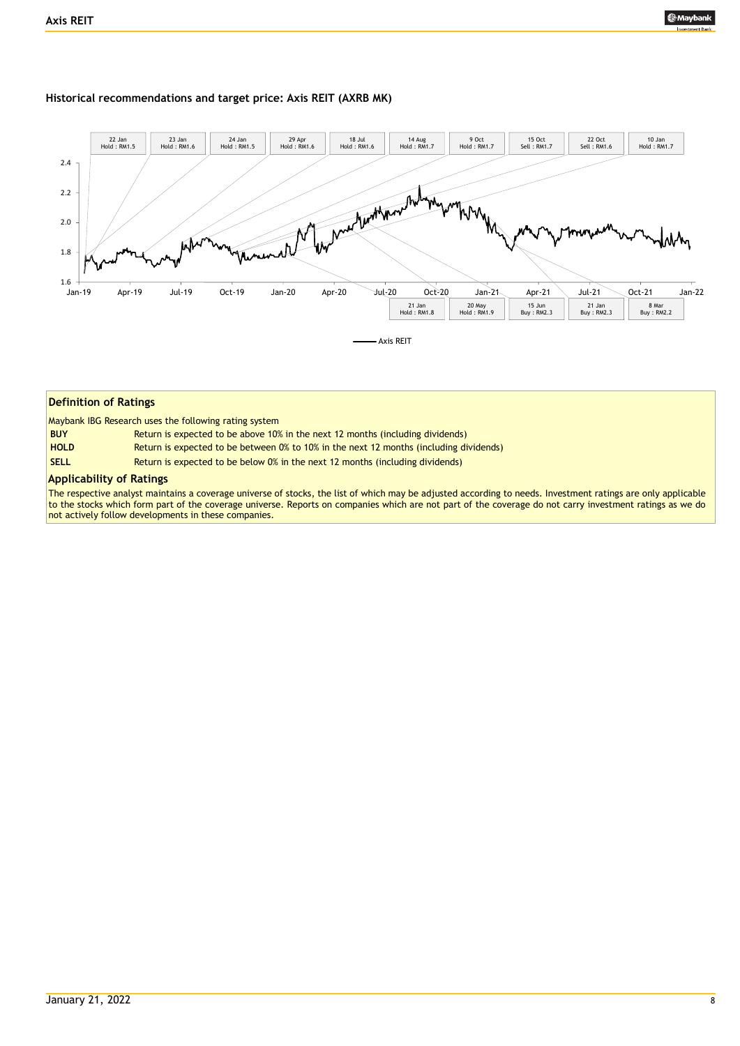#### **Historical recommendations and target price: Axis REIT (AXRB MK)**



#### **Definition of Ratings**

Maybank IBG Research uses the following rating system

| <b>BUY</b>  | Return is expected to be above 10% in the next 12 months (including dividends)         |
|-------------|----------------------------------------------------------------------------------------|
| <b>HOLD</b> | Return is expected to be between 0% to 10% in the next 12 months (including dividends) |
| <b>SELL</b> | Return is expected to be below 0% in the next 12 months (including dividends)          |

#### **Applicability of Ratings**

The respective analyst maintains a coverage universe of stocks, the list of which may be adjusted according to needs. Investment ratings are only applicable to the stocks which form part of the coverage universe. Reports on companies which are not part of the coverage do not carry investment ratings as we do not actively follow developments in these companies.